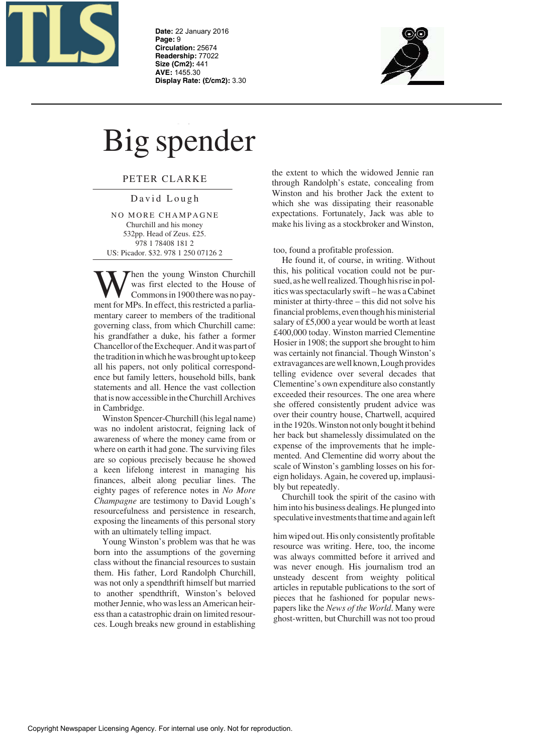

**Date:** 22 January 2016 **Page:** 9 **Circulation:** 25674 **Readership:** 77022 **Size (Cm2):** 441 **AVE:** 1455.30 **Display Rate: (£/cm2):** 3.30



## Big spender

PETER CLARKE

David Lough

NO MORE CHAMPAGNE Churchill and his money 532pp. Head of Zeus. £25. 978 1 78408 181 2 US: Picador. \$32. 978 1 250 07126 2

Then the young Winston Churchill was first elected to the House of Commonsin 1900 therewas no payment for MPs. In effect, this restricted a parliamentary career to members of the traditional governing class, from which Churchill came: his grandfather a duke, his father a former Chancellor of the Exchequer. And it was part of the tradition in which he was brought up to keep all his papers, not only political correspondence but family letters, household bills, bank statements and all. Hence the vast collection that is now accessible in the Churchill Archives in Cambridge.

Winston Spencer-Churchill (his legal name) was no indolent aristocrat, feigning lack of awareness of where the money came from or where on earth it had gone. The surviving files are so copious precisely because he showed a keen lifelong interest in managing his finances, albeit along peculiar lines. The eighty pages of reference notes in *No More Champagne* are testimony to David Lough's resourcefulness and persistence in research, exposing the lineaments of this personal story with an ultimately telling impact.

Young Winston's problem was that he was born into the assumptions of the governing class without the financial resources to sustain them. His father, Lord Randolph Churchill, was not only a spendthrift himself but married to another spendthrift, Winston's beloved mother Jennie, who was less an American heiress than a catastrophic drain on limited resources. Lough breaks new ground in establishing

the extent to which the widowed Jennie ran through Randolph's estate, concealing from Winston and his brother Jack the extent to which she was dissipating their reasonable expectations. Fortunately, Jack was able to make his living as a stockbroker and Winston,

too, found a profitable profession.

He found it, of course, in writing. Without this, his political vocation could not be pursued, as he well realized. Though his rise in politics wasspectacularly swift – he was aCabinet minister at thirty-three – this did not solve his financial problems, even though hisministerial salary of £5,000 a year would be worth at least £400,000 today. Winston married Clementine Hosier in 1908; the support she brought to him was certainly not financial. Though Winston's extravagances are well known,Lough provides telling evidence over several decades that Clementine's own expenditure also constantly exceeded their resources. The one area where she offered consistently prudent advice was over their country house, Chartwell, acquired in the 1920s. Winston not only bought it behind her back but shamelessly dissimulated on the expense of the improvements that he implemented. And Clementine did worry about the scale of Winston's gambling losses on his foreign holidays. Again, he covered up, implausibly but repeatedly.

Churchill took the spirit of the casino with him into his business dealings. He plunged into speculative investments that time and again left

him wiped out. His only consistently profitable resource was writing. Here, too, the income was always committed before it arrived and was never enough. His journalism trod an unsteady descent from weighty political articles in reputable publications to the sort of pieces that he fashioned for popular newspapers like the *News of the World*. Many were ghost-written, but Churchill was not too proud